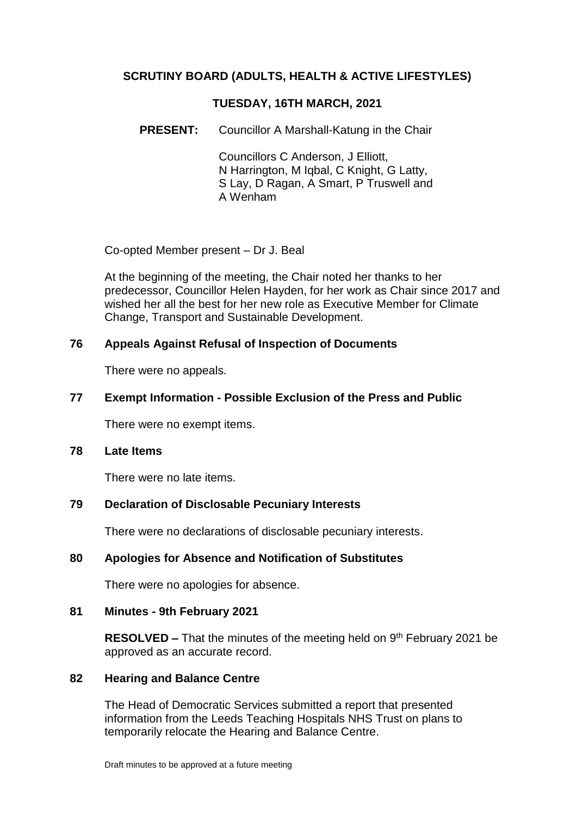# **SCRUTINY BOARD (ADULTS, HEALTH & ACTIVE LIFESTYLES)**

#### **TUESDAY, 16TH MARCH, 2021**

**PRESENT:** Councillor A Marshall-Katung in the Chair

Councillors C Anderson, J Elliott, N Harrington, M Iqbal, C Knight, G Latty, S Lay, D Ragan, A Smart, P Truswell and A Wenham

Co-opted Member present – Dr J. Beal

At the beginning of the meeting, the Chair noted her thanks to her predecessor, Councillor Helen Hayden, for her work as Chair since 2017 and wished her all the best for her new role as Executive Member for Climate Change, Transport and Sustainable Development.

#### **76 Appeals Against Refusal of Inspection of Documents**

There were no appeals.

# **77 Exempt Information - Possible Exclusion of the Press and Public**

There were no exempt items.

#### **78 Late Items**

There were no late items.

# **79 Declaration of Disclosable Pecuniary Interests**

There were no declarations of disclosable pecuniary interests.

# **80 Apologies for Absence and Notification of Substitutes**

There were no apologies for absence.

# **81 Minutes - 9th February 2021**

**RESOLVED –** That the minutes of the meeting held on 9<sup>th</sup> February 2021 be approved as an accurate record.

#### **82 Hearing and Balance Centre**

The Head of Democratic Services submitted a report that presented information from the Leeds Teaching Hospitals NHS Trust on plans to temporarily relocate the Hearing and Balance Centre.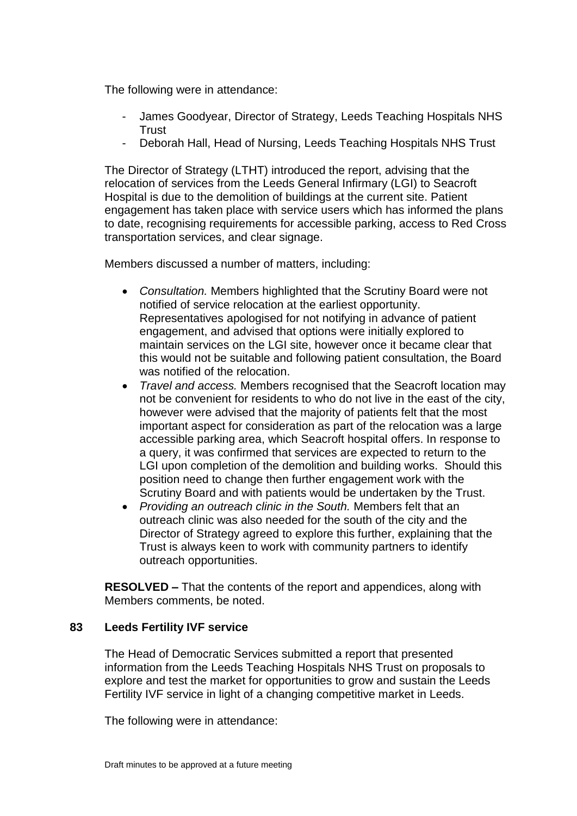The following were in attendance:

- James Goodyear, Director of Strategy, Leeds Teaching Hospitals NHS Trust
- Deborah Hall, Head of Nursing, Leeds Teaching Hospitals NHS Trust

The Director of Strategy (LTHT) introduced the report, advising that the relocation of services from the Leeds General Infirmary (LGI) to Seacroft Hospital is due to the demolition of buildings at the current site. Patient engagement has taken place with service users which has informed the plans to date, recognising requirements for accessible parking, access to Red Cross transportation services, and clear signage.

Members discussed a number of matters, including:

- *Consultation.* Members highlighted that the Scrutiny Board were not notified of service relocation at the earliest opportunity. Representatives apologised for not notifying in advance of patient engagement, and advised that options were initially explored to maintain services on the LGI site, however once it became clear that this would not be suitable and following patient consultation, the Board was notified of the relocation.
- *Travel and access.* Members recognised that the Seacroft location may not be convenient for residents to who do not live in the east of the city, however were advised that the majority of patients felt that the most important aspect for consideration as part of the relocation was a large accessible parking area, which Seacroft hospital offers. In response to a query, it was confirmed that services are expected to return to the LGI upon completion of the demolition and building works. Should this position need to change then further engagement work with the Scrutiny Board and with patients would be undertaken by the Trust.
- *Providing an outreach clinic in the South.* Members felt that an outreach clinic was also needed for the south of the city and the Director of Strategy agreed to explore this further, explaining that the Trust is always keen to work with community partners to identify outreach opportunities.

**RESOLVED –** That the contents of the report and appendices, along with Members comments, be noted.

# **83 Leeds Fertility IVF service**

The Head of Democratic Services submitted a report that presented information from the Leeds Teaching Hospitals NHS Trust on proposals to explore and test the market for opportunities to grow and sustain the Leeds Fertility IVF service in light of a changing competitive market in Leeds.

The following were in attendance: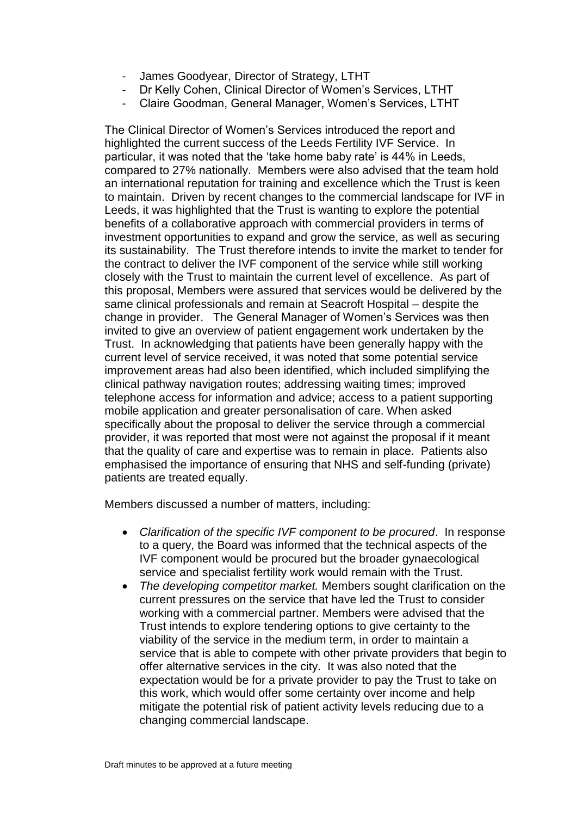- James Goodyear, Director of Strategy, LTHT
- Dr Kelly Cohen, Clinical Director of Women's Services, LTHT
- Claire Goodman, General Manager, Women's Services, LTHT

The Clinical Director of Women's Services introduced the report and highlighted the current success of the Leeds Fertility IVF Service. In particular, it was noted that the 'take home baby rate' is 44% in Leeds, compared to 27% nationally. Members were also advised that the team hold an international reputation for training and excellence which the Trust is keen to maintain. Driven by recent changes to the commercial landscape for IVF in Leeds, it was highlighted that the Trust is wanting to explore the potential benefits of a collaborative approach with commercial providers in terms of investment opportunities to expand and grow the service, as well as securing its sustainability. The Trust therefore intends to invite the market to tender for the contract to deliver the IVF component of the service while still working closely with the Trust to maintain the current level of excellence. As part of this proposal, Members were assured that services would be delivered by the same clinical professionals and remain at Seacroft Hospital – despite the change in provider. The General Manager of Women's Services was then invited to give an overview of patient engagement work undertaken by the Trust. In acknowledging that patients have been generally happy with the current level of service received, it was noted that some potential service improvement areas had also been identified, which included simplifying the clinical pathway navigation routes; addressing waiting times; improved telephone access for information and advice; access to a patient supporting mobile application and greater personalisation of care. When asked specifically about the proposal to deliver the service through a commercial provider, it was reported that most were not against the proposal if it meant that the quality of care and expertise was to remain in place. Patients also emphasised the importance of ensuring that NHS and self-funding (private) patients are treated equally.

Members discussed a number of matters, including:

- *Clarification of the specific IVF component to be procured*. In response to a query, the Board was informed that the technical aspects of the IVF component would be procured but the broader gynaecological service and specialist fertility work would remain with the Trust.
- *The developing competitor market.* Members sought clarification on the current pressures on the service that have led the Trust to consider working with a commercial partner. Members were advised that the Trust intends to explore tendering options to give certainty to the viability of the service in the medium term, in order to maintain a service that is able to compete with other private providers that begin to offer alternative services in the city. It was also noted that the expectation would be for a private provider to pay the Trust to take on this work, which would offer some certainty over income and help mitigate the potential risk of patient activity levels reducing due to a changing commercial landscape.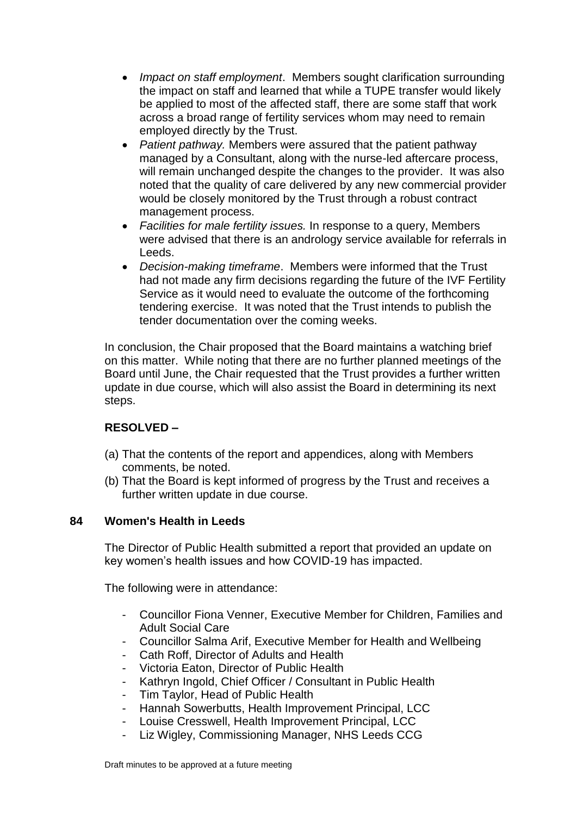- *Impact on staff employment*. Members sought clarification surrounding the impact on staff and learned that while a TUPE transfer would likely be applied to most of the affected staff, there are some staff that work across a broad range of fertility services whom may need to remain employed directly by the Trust.
- *Patient pathway.* Members were assured that the patient pathway managed by a Consultant, along with the nurse-led aftercare process, will remain unchanged despite the changes to the provider. It was also noted that the quality of care delivered by any new commercial provider would be closely monitored by the Trust through a robust contract management process.
- *Facilities for male fertility issues.* In response to a query, Members were advised that there is an andrology service available for referrals in Leeds.
- *Decision-making timeframe*. Members were informed that the Trust had not made any firm decisions regarding the future of the IVF Fertility Service as it would need to evaluate the outcome of the forthcoming tendering exercise. It was noted that the Trust intends to publish the tender documentation over the coming weeks.

In conclusion, the Chair proposed that the Board maintains a watching brief on this matter. While noting that there are no further planned meetings of the Board until June, the Chair requested that the Trust provides a further written update in due course, which will also assist the Board in determining its next steps.

# **RESOLVED –**

- (a) That the contents of the report and appendices, along with Members comments, be noted.
- (b) That the Board is kept informed of progress by the Trust and receives a further written update in due course.

# **84 Women's Health in Leeds**

The Director of Public Health submitted a report that provided an update on key women's health issues and how COVID-19 has impacted.

The following were in attendance:

- Councillor Fiona Venner, Executive Member for Children, Families and Adult Social Care
- Councillor Salma Arif, Executive Member for Health and Wellbeing
- Cath Roff, Director of Adults and Health
- Victoria Eaton, Director of Public Health
- Kathryn Ingold, Chief Officer / Consultant in Public Health
- Tim Taylor, Head of Public Health
- Hannah Sowerbutts, Health Improvement Principal, LCC
- Louise Cresswell, Health Improvement Principal, LCC
- Liz Wigley, Commissioning Manager, NHS Leeds CCG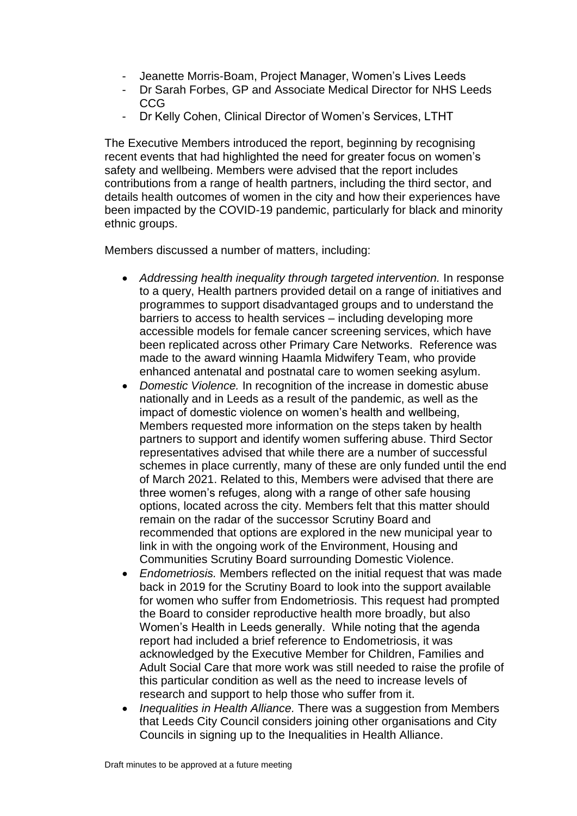- Jeanette Morris-Boam, Project Manager, Women's Lives Leeds
- Dr Sarah Forbes, GP and Associate Medical Director for NHS Leeds CCG
- Dr Kelly Cohen, Clinical Director of Women's Services, LTHT

The Executive Members introduced the report, beginning by recognising recent events that had highlighted the need for greater focus on women's safety and wellbeing. Members were advised that the report includes contributions from a range of health partners, including the third sector, and details health outcomes of women in the city and how their experiences have been impacted by the COVID-19 pandemic, particularly for black and minority ethnic groups.

Members discussed a number of matters, including:

- *Addressing health inequality through targeted intervention.* In response to a query, Health partners provided detail on a range of initiatives and programmes to support disadvantaged groups and to understand the barriers to access to health services – including developing more accessible models for female cancer screening services, which have been replicated across other Primary Care Networks. Reference was made to the award winning Haamla Midwifery Team, who provide enhanced antenatal and postnatal care to women seeking asylum.
- *Domestic Violence.* In recognition of the increase in domestic abuse nationally and in Leeds as a result of the pandemic, as well as the impact of domestic violence on women's health and wellbeing, Members requested more information on the steps taken by health partners to support and identify women suffering abuse. Third Sector representatives advised that while there are a number of successful schemes in place currently, many of these are only funded until the end of March 2021. Related to this, Members were advised that there are three women's refuges, along with a range of other safe housing options, located across the city. Members felt that this matter should remain on the radar of the successor Scrutiny Board and recommended that options are explored in the new municipal year to link in with the ongoing work of the Environment, Housing and Communities Scrutiny Board surrounding Domestic Violence.
- *Endometriosis.* Members reflected on the initial request that was made back in 2019 for the Scrutiny Board to look into the support available for women who suffer from Endometriosis. This request had prompted the Board to consider reproductive health more broadly, but also Women's Health in Leeds generally. While noting that the agenda report had included a brief reference to Endometriosis, it was acknowledged by the Executive Member for Children, Families and Adult Social Care that more work was still needed to raise the profile of this particular condition as well as the need to increase levels of research and support to help those who suffer from it.
- *Inequalities in Health Alliance.* There was a suggestion from Members that Leeds City Council considers joining other organisations and City Councils in signing up to the Inequalities in Health Alliance.